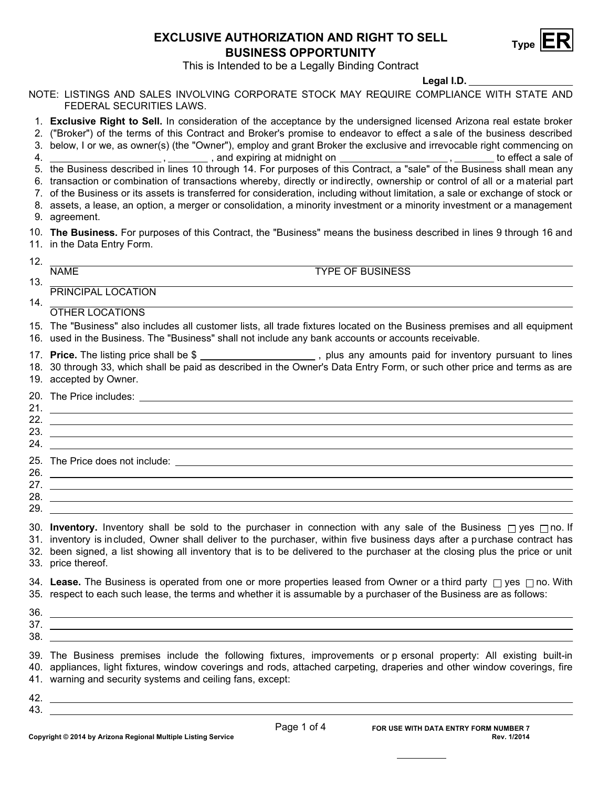## **Type EXCLUSIVE AUTHORIZATION AND RIGHT TO SELL ER BUSINESS OPPORTUNITY**



This is Intended to be a Legally Binding Contract

## **Legal I.D.**

NOTE: LISTINGS AND SALES INVOLVING CORPORATE STOCK MAY REQUIRE COMPLIANCE WITH STATE AND FEDERAL SECURITIES LAWS.

- 1. **Exclusive Right to Sell.** In consideration of the acceptance by the undersigned licensed Arizona real estate broker
- 2. ("Broker") of the terms of this Contract and Broker's promise to endeavor to effect a sale of the business described
- 3. below, I or we, as owner(s) (the "Owner"), employ and grant Broker the exclusive and irrevocable right commencing on 4. , , and expiring at midnight on , to effect a sale of
- 5. the Business described in lines 10 through 14. For purposes of this Contract, a "sale" of the Business shall mean any
- 6. transaction or combination of transactions whereby, directly or indirectly, ownership or control of all or a material part
- 7. of the Business or its assets is transferred for consideration, including without limitation, a sale or exchange of stock or
- 9. agreement. 8. assets, a lease, an option, a merger or consolidation, a minority investment or a minority investment or a management

10. **The Business.** For purposes of this Contract, the "Business" means the business described in lines 9 through 16 and 11. in the Data Entry Form.

12.

13.

NAME TYPE OF BUSINESS

14. PRINCIPAL LOCATION

## OTHER LOCATIONS

- 15. The "Business" also includes all customer lists, all trade fixtures located on the Business premises and all equipment
- 16. used in the Business. The "Business" shall not include any bank accounts or accounts receivable.
- 17. Price. The listing price shall be \$ **Price shall be shall be shall be shall be shall be shall be shall be shall be shall be shall be shall be shall be s** 
	- 18. 30 through 33, which shall be paid as described in the Owner's Data Entry Form, or such other price and terms as are 19. accepted by Owner.

|     | 20. The Price includes:<br><u> 1989 - Johann Stein, mars an de Brazilia (b. 1989)</u>                                                                                                                                                |
|-----|--------------------------------------------------------------------------------------------------------------------------------------------------------------------------------------------------------------------------------------|
| 21. |                                                                                                                                                                                                                                      |
| 22. |                                                                                                                                                                                                                                      |
| 23. |                                                                                                                                                                                                                                      |
| 24. |                                                                                                                                                                                                                                      |
|     | 25. The Price does not include: <b>All any of the Contract Contract Contract Contract Contract Contract Contract Contract Contract Contract Contract Contract Contract Contract Contract Contract Contract Contract Contract Con</b> |
| 26. |                                                                                                                                                                                                                                      |

| $\sim$<br>$\mathcal{L}$ |  |
|-------------------------|--|
| 28.                     |  |
| 29.                     |  |

30. Inventory. Inventory shall be sold to the purchaser in connection with any sale of the Business  $\Box$ yes  $\Box$ no. If 31. inventory is included, Owner shall deliver to the purchaser, within five business days after a purchase contract has 32. been signed, a list showing all inventory that is to be delivered to the purchaser at the closing plus the price or unit 33. price thereof.

34. **Lease.** The Business is operated from one or more properties leased from Owner or a third party □ yes □ no. With 35. respect to each such lease, the terms and whether it is assumable by a purchaser of the Business are as follows:

| 36          |  |
|-------------|--|
| $\sim$<br>ິ |  |
| ാഠ<br>ູບເ   |  |

39. The Business premises include the following fixtures, improvements or p ersonal property: All existing built-in 40. appliances, light fixtures, window coverings and rods, attached carpeting, draperies and other window coverings, fire 41. warning and security systems and ceiling fans, except:

42. 43.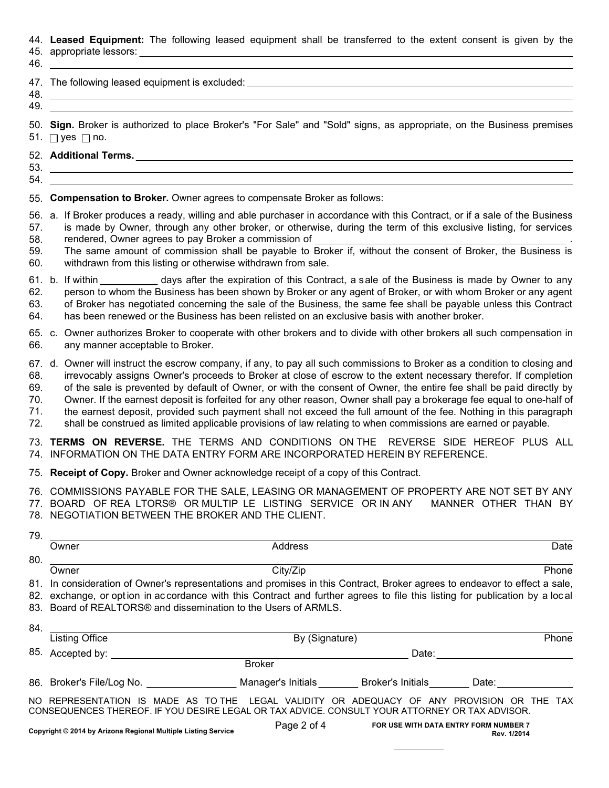## 44. **Leased Equipment:** The following leased equipment shall be transferred to the extent consent is given by the

- 45. appropriate lessors:
- 
- 46. 47. The following leased equipment is excluded: 48.
- 49.

50. **Sign.** Broker is authorized to place Broker's "For Sale" and "Sold" signs, as appropriate, on the Business premises 51. ⊟ yes ⊟ no.

- 52. **Additional Terms.**
- 53. 54.
- 55. **Compensation to Broker.** Owner agrees to compensate Broker as follows:
- 56. a. If Broker produces a ready, willing and able purchaser in accordance with this Contract, or if a sale of the Business 57. is made by Owner, through any other broker, or otherwise, during the term of this exclusive listing, for services
- 58. rendered, Owner agrees to pay Broker a commission of
- 59. 60. The same amount of commission shall be payable to Broker if, without the consent of Broker, the Business is withdrawn from this listing or otherwise withdrawn from sale.
- 61. b. If within \_\_\_\_\_\_\_\_\_\_\_ days after the expiration of this Contract, a sale of the Business is made by Owner to any 62. 63. person to whom the Business has been shown by Broker or any agent of Broker, or with whom Broker or any agent of Broker has negotiated concerning the sale of the Business, the same fee shall be payable unless this Contract
- 64. has been renewed or the Business has been relisted on an exclusive basis with another broker.
- 65. c. Owner authorizes Broker to cooperate with other brokers and to divide with other brokers all such compensation in 66. any manner acceptable to Broker.
- 67. d. Owner will instruct the escrow company, if any, to pay all such commissions to Broker as a condition to closing and
- 68. irrevocably assigns Owner's proceeds to Broker at close of escrow to the extent necessary therefor. If completion
- 69. 70. of the sale is prevented by default of Owner, or with the consent of Owner, the entire fee shall be paid directly by Owner. If the earnest deposit is forfeited for any other reason, Owner shall pay a brokerage fee equal to one-half of
- 71. the earnest deposit, provided such payment shall not exceed the full amount of the fee. Nothing in this paragraph
- 72. shall be construed as limited applicable provisions of law relating to when commissions are earned or payable.
- 73. **TERMS ON REVERSE.** THE TERMS AND CONDITIONS ON THE REVERSE SIDE HEREOF PLUS ALL 74. INFORMATION ON THE DATA ENTRY FORM ARE INCORPORATED HEREIN BY REFERENCE.
- 75. **Receipt of Copy.** Broker and Owner acknowledge receipt of a copy of this Contract.
- 76. COMMISSIONS PAYABLE FOR THE SALE, LEASING OR MANAGEMENT OF PROPERTY ARE NOT SET BY ANY
- 77. BOARD OF REA LTORS® OR MULTIP LE LISTING SERVICE OR IN ANY MANNER OTHER THAN BY 78. NEGOTIATION BETWEEN THE BROKER AND THE CLIENT.

| 79. |                                                                                                                             |                                                                                                               |                                                   |         |  |  |  |
|-----|-----------------------------------------------------------------------------------------------------------------------------|---------------------------------------------------------------------------------------------------------------|---------------------------------------------------|---------|--|--|--|
|     | Owner                                                                                                                       | Address                                                                                                       |                                                   | Date    |  |  |  |
| 80. |                                                                                                                             |                                                                                                               |                                                   |         |  |  |  |
|     | Owner                                                                                                                       | City/Zip                                                                                                      |                                                   | Phone   |  |  |  |
|     | 81. In consideration of Owner's representations and promises in this Contract, Broker agrees to endeavor to effect a sale,  |                                                                                                               |                                                   |         |  |  |  |
|     | 82. exchange, or option in accordance with this Contract and further agrees to file this listing for publication by a local |                                                                                                               |                                                   |         |  |  |  |
|     | 83. Board of REALTORS® and dissemination to the Users of ARMLS.                                                             |                                                                                                               |                                                   |         |  |  |  |
| 84. |                                                                                                                             |                                                                                                               |                                                   |         |  |  |  |
|     | <b>Listing Office</b>                                                                                                       |                                                                                                               | By (Signature)                                    |         |  |  |  |
|     | 85. Accepted by:                                                                                                            |                                                                                                               | Date:                                             |         |  |  |  |
|     |                                                                                                                             | <b>Broker</b>                                                                                                 |                                                   |         |  |  |  |
|     |                                                                                                                             | 86. Broker's File/Log No. __________________Manager's Initials ________Broker's Initials ________Date: ______ |                                                   |         |  |  |  |
|     | NO REPRESENTATION IS MADE AS TO THE                                                                                         | CONSEQUENCES THEREOF. IF YOU DESIRE LEGAL OR TAX ADVICE. CONSULT YOUR ATTORNEY OR TAX ADVISOR.                | LEGAL VALIDITY OR ADEQUACY OF ANY PROVISION OR    | THE TAX |  |  |  |
|     |                                                                                                                             |                                                                                                               | Page 2 of 4 FOR USE WITH DATA ENTRY FORM NUMBER 7 |         |  |  |  |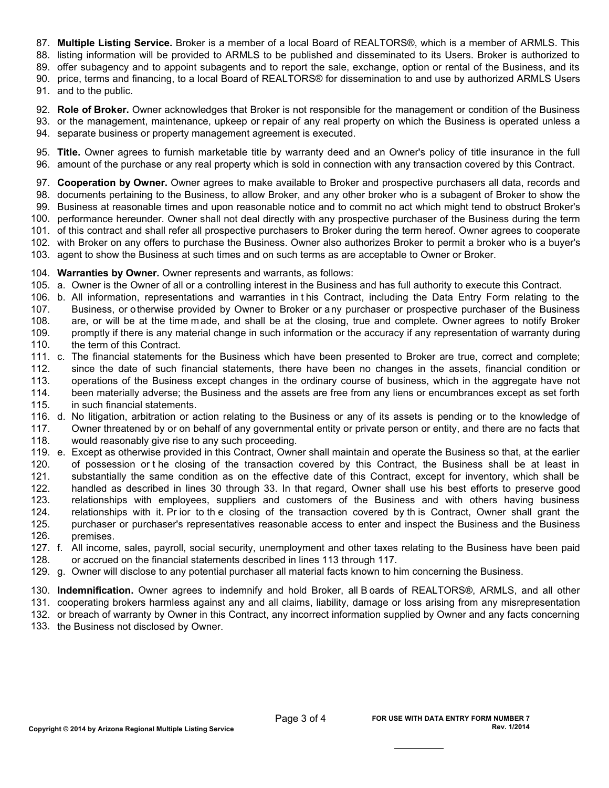87. **Multiple Listing Service.** Broker is a member of a local Board of REALTORS®, which is a member of ARMLS. This

88. listing information will be provided to ARMLS to be published and disseminated to its Users. Broker is authorized to

89. offer subagency and to appoint subagents and to report the sale, exchange, option or rental of the Business, and its

90. price, terms and financing, to a local Board of REALTORS® for dissemination to and use by authorized ARMLS Users

91. and to the public.

92. **Role of Broker.** Owner acknowledges that Broker is not responsible for the management or condition of the Business 93. or the management, maintenance, upkeep or repair of any real property on which the Business is operated unless a

94. separate business or property management agreement is executed.

95. **Title.** Owner agrees to furnish marketable title by warranty deed and an Owner's policy of title insurance in the full 96. amount of the purchase or any real property which is sold in connection with any transaction covered by this Contract.

97. **Cooperation by Owner.** Owner agrees to make available to Broker and prospective purchasers all data, records and 98. documents pertaining to the Business, to allow Broker, and any other broker who is a subagent of Broker to show the 99. Business at reasonable times and upon reasonable notice and to commit no act which might tend to obstruct Broker's 100. performance hereunder. Owner shall not deal directly with any prospective purchaser of the Business during the term 101. of this contract and shall refer all prospective purchasers to Broker during the term hereof. Owner agrees to cooperate 102. with Broker on any offers to purchase the Business. Owner also authorizes Broker to permit a broker who is a buyer's 103. agent to show the Business at such times and on such terms as are acceptable to Owner or Broker.

104. **Warranties by Owner.** Owner represents and warrants, as follows:

- 105. a. Owner is the Owner of all or a controlling interest in the Business and has full authority to execute this Contract.
- 106. b. All information, representations and warranties in t his Contract, including the Data Entry Form relating to the 107. 108. 109. Business, or otherwise provided by Owner to Broker or any purchaser or prospective purchaser of the Business are, or will be at the time m ade, and shall be at the closing, true and complete. Owner agrees to notify Broker promptly if there is any material change in such information or the accuracy if any representation of warranty during
- 110. the term of this Contract.

111. c. The financial statements for the Business which have been presented to Broker are true, correct and complete;

112. since the date of such financial statements, there have been no changes in the assets, financial condition or

- 113. operations of the Business except changes in the ordinary course of business, which in the aggregate have not
- 114. been materially adverse; the Business and the assets are free from any liens or encumbrances except as set forth
- 115. in such financial statements.
- 116. d. No litigation, arbitration or action relating to the Business or any of its assets is pending or to the knowledge of 117. 118. Owner threatened by or on behalf of any governmental entity or private person or entity, and there are no facts that would reasonably give rise to any such proceeding.

119. e. 120. 121. Except as otherwise provided in this Contract, Owner shall maintain and operate the Business so that, at the earlier of possession or t he closing of the transaction covered by this Contract, the Business shall be at least in substantially the same condition as on the effective date of this Contract, except for inventory, which shall be

122. 123. handled as described in lines 30 through 33. In that regard, Owner shall use his best efforts to preserve good relationships with employees, suppliers and customers of the Business and with others having business

124. relationships with it. Pr ior to th e closing of the transaction covered by th is Contract, Owner shall grant the

125. 126. purchaser or purchaser's representatives reasonable access to enter and inspect the Business and the Business premises.

- 127. f. All income, sales, payroll, social security, unemployment and other taxes relating to the Business have been paid 128. or accrued on the financial statements described in lines 113 through 117.
- 129. g. Owner will disclose to any potential purchaser all material facts known to him concerning the Business.

130. **Indemnification.** Owner agrees to indemnify and hold Broker, all B oards of REALTORS®, ARMLS, and all other

131. cooperating brokers harmless against any and all claims, liability, damage or loss arising from any misrepresentation

132. or breach of warranty by Owner in this Contract, any incorrect information supplied by Owner and any facts concerning

133. the Business not disclosed by Owner.